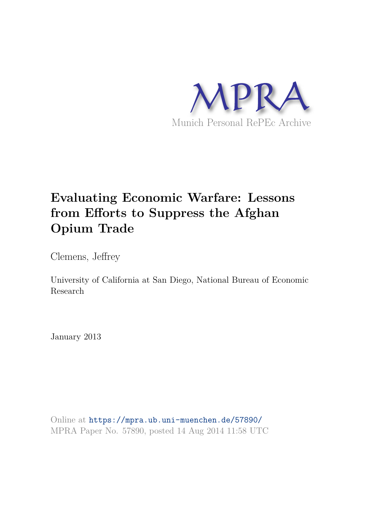

# **Evaluating Economic Warfare: Lessons from Efforts to Suppress the Afghan Opium Trade**

Clemens, Jeffrey

University of California at San Diego, National Bureau of Economic Research

January 2013

Online at https://mpra.ub.uni-muenchen.de/57890/ MPRA Paper No. 57890, posted 14 Aug 2014 11:58 UTC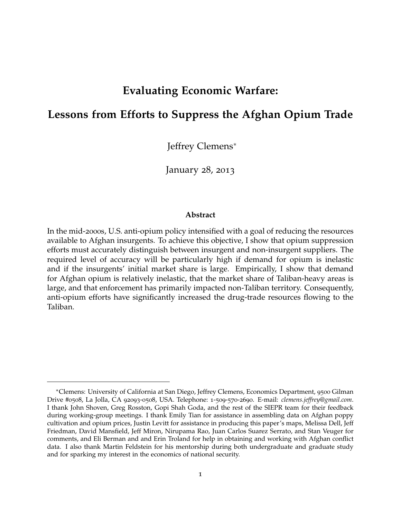## **Evaluating Economic Warfare:**

# **Lessons from Efforts to Suppress the Afghan Opium Trade**

Jeffrey Clemens<sup>∗</sup>

January 28, 2013

#### **Abstract**

In the mid-2000s, U.S. anti-opium policy intensified with a goal of reducing the resources available to Afghan insurgents. To achieve this objective, I show that opium suppression efforts must accurately distinguish between insurgent and non-insurgent suppliers. The required level of accuracy will be particularly high if demand for opium is inelastic and if the insurgents' initial market share is large. Empirically, I show that demand for Afghan opium is relatively inelastic, that the market share of Taliban-heavy areas is large, and that enforcement has primarily impacted non-Taliban territory. Consequently, anti-opium efforts have significantly increased the drug-trade resources flowing to the Taliban.

<sup>∗</sup>Clemens: University of California at San Diego, Jeffrey Clemens, Economics Department, <sup>9500</sup> Gilman Drive #0508, La Jolla, CA 92093-0508, USA. Telephone: 1-509-570-2690. E-mail: *clemens.jeffrey@gmail.com*. I thank John Shoven, Greg Rosston, Gopi Shah Goda, and the rest of the SIEPR team for their feedback during working-group meetings. I thank Emily Tian for assistance in assembling data on Afghan poppy cultivation and opium prices, Justin Levitt for assistance in producing this paper's maps, Melissa Dell, Jeff Friedman, David Mansfield, Jeff Miron, Nirupama Rao, Juan Carlos Suarez Serrato, and Stan Veuger for comments, and Eli Berman and and Erin Troland for help in obtaining and working with Afghan conflict data. I also thank Martin Feldstein for his mentorship during both undergraduate and graduate study and for sparking my interest in the economics of national security.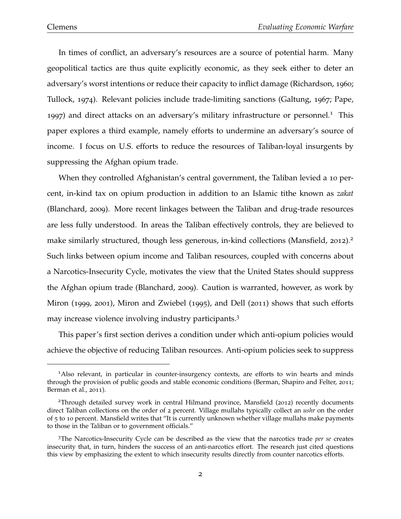In times of conflict, an adversary's resources are a source of potential harm. Many geopolitical tactics are thus quite explicitly economic, as they seek either to deter an adversary's worst intentions or reduce their capacity to inflict damage (Richardson, 1960; Tullock, 1974). Relevant policies include trade-limiting sanctions (Galtung, 1967; Pape, 1997) and direct attacks on an adversary's military infrastructure or personnel.<sup>1</sup> This paper explores a third example, namely efforts to undermine an adversary's source of income. I focus on U.S. efforts to reduce the resources of Taliban-loyal insurgents by suppressing the Afghan opium trade.

When they controlled Afghanistan's central government, the Taliban levied a 10 percent, in-kind tax on opium production in addition to an Islamic tithe known as *zakat* (Blanchard, 2009). More recent linkages between the Taliban and drug-trade resources are less fully understood. In areas the Taliban effectively controls, they are believed to make similarly structured, though less generous, in-kind collections (Mansfield, 2012).<sup>2</sup> Such links between opium income and Taliban resources, coupled with concerns about a Narcotics-Insecurity Cycle, motivates the view that the United States should suppress the Afghan opium trade (Blanchard, 2009). Caution is warranted, however, as work by Miron (1999, 2001), Miron and Zwiebel (1995), and Dell (2011) shows that such efforts may increase violence involving industry participants.<sup>3</sup>

This paper's first section derives a condition under which anti-opium policies would achieve the objective of reducing Taliban resources. Anti-opium policies seek to suppress

<sup>1</sup>Also relevant, in particular in counter-insurgency contexts, are efforts to win hearts and minds through the provision of public goods and stable economic conditions (Berman, Shapiro and Felter, 2011; Berman et al., 2011).

<sup>2</sup>Through detailed survey work in central Hilmand province, Mansfield (2012) recently documents direct Taliban collections on the order of 2 percent. Village mullahs typically collect an *ushr* on the order of 5 to 10 percent. Mansfield writes that "It is currently unknown whether village mullahs make payments to those in the Taliban or to government officials."

<sup>3</sup>The Narcotics-Insecurity Cycle can be described as the view that the narcotics trade *per se* creates insecurity that, in turn, hinders the success of an anti-narcotics effort. The research just cited questions this view by emphasizing the extent to which insecurity results directly from counter narcotics efforts.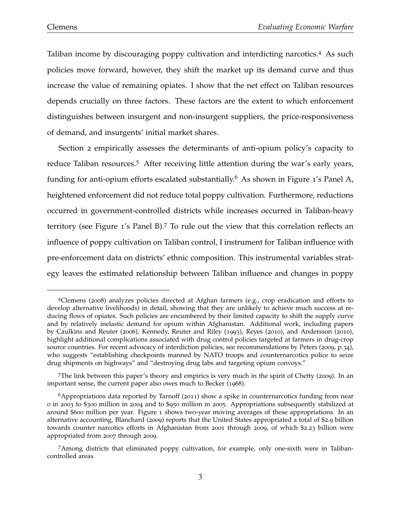Taliban income by discouraging poppy cultivation and interdicting narcotics.<sup>4</sup> As such policies move forward, however, they shift the market up its demand curve and thus increase the value of remaining opiates. I show that the net effect on Taliban resources depends crucially on three factors. These factors are the extent to which enforcement distinguishes between insurgent and non-insurgent suppliers, the price-responsiveness of demand, and insurgents' initial market shares.

Section 2 empirically assesses the determinants of anti-opium policy's capacity to reduce Taliban resources.<sup>5</sup> After receiving little attention during the war's early years, funding for anti-opium efforts escalated substantially.<sup>6</sup> As shown in Figure 1's Panel A, heightened enforcement did not reduce total poppy cultivation. Furthermore, reductions occurred in government-controlled districts while increases occurred in Taliban-heavy territory (see Figure 1's Panel B).<sup>7</sup> To rule out the view that this correlation reflects an influence of poppy cultivation on Taliban control, I instrument for Taliban influence with pre-enforcement data on districts' ethnic composition. This instrumental variables strategy leaves the estimated relationship between Taliban influence and changes in poppy

<sup>4</sup>Clemens (2008) analyzes policies directed at Afghan farmers (e.g., crop eradication and efforts to develop alternative livelihoods) in detail, showing that they are unlikely to achieve much success at reducing flows of opiates. Such policies are encumbered by their limited capacity to shift the supply curve and by relatively inelastic demand for opium within Afghanistan. Additional work, including papers by Caulkins and Reuter (2006), Kennedy, Reuter and Riley (1993), Reyes (2010), and Andersson (2010), highlight additional complications associated with drug control policies targeted at farmers in drug-crop source countries. For recent advocacy of interdiction policies, see recommendations by Peters (2009, p.34), who suggests "establishing checkpoints manned by NATO troops and counternarcotics police to seize drug shipments on highways" and "destroying drug labs and targeting opium convoys."

<sup>5</sup>The link between this paper's theory and empirics is very much in the spirit of Chetty (2009). In an important sense, the current paper also owes much to Becker (1968).

 $6$ Appropriations data reported by Tarnoff (2011) show a spike in counternarcotics funding from near 0 in 2003 to \$300 million in 2004 and to \$950 million in 2005. Appropriations subsequently stabilized at around \$600 million per year. Figure 1 shows two-year moving averages of these appropriations. In an alternative accounting, Blanchard (2009) reports that the United States appropriated a total of \$2.9 billion towards counter narcotics efforts in Afghanistan from 2001 through 2009, of which \$2.23 billion were appropriated from 2007 through 2009.

<sup>7</sup>Among districts that eliminated poppy cultivation, for example, only one-sixth were in Talibancontrolled areas.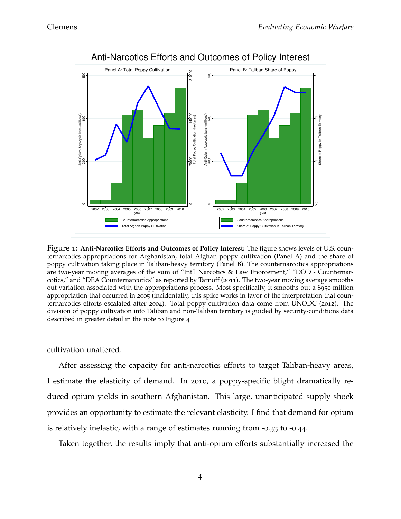

Figure 1: **Anti-Narcotics Efforts and Outcomes of Policy Interest:** The figure shows levels of U.S. counternarcotics appropriations for Afghanistan, total Afghan poppy cultivation (Panel A) and the share of poppy cultivation taking place in Taliban-heavy territory (Panel B). The counternarcotics appropriations are two-year moving averages of the sum of "Int'l Narcotics & Law Enorcement," "DOD - Counternarcotics," and "DEA Counternarcotics" as reported by Tarnoff (2011). The two-year moving average smooths out variation associated with the appropriations process. Most specifically, it smooths out a \$950 million appropriation that occurred in 2005 (incidentally, this spike works in favor of the interpretation that counternarcotics efforts escalated after 2004). Total poppy cultivation data come from UNODC (2012). The division of poppy cultivation into Taliban and non-Taliban territory is guided by security-conditions data described in greater detail in the note to Figure 4

cultivation unaltered.

After assessing the capacity for anti-narcotics efforts to target Taliban-heavy areas, I estimate the elasticity of demand. In 2010, a poppy-specific blight dramatically reduced opium yields in southern Afghanistan. This large, unanticipated supply shock provides an opportunity to estimate the relevant elasticity. I find that demand for opium is relatively inelastic, with a range of estimates running from -0.33 to -0.44.

Taken together, the results imply that anti-opium efforts substantially increased the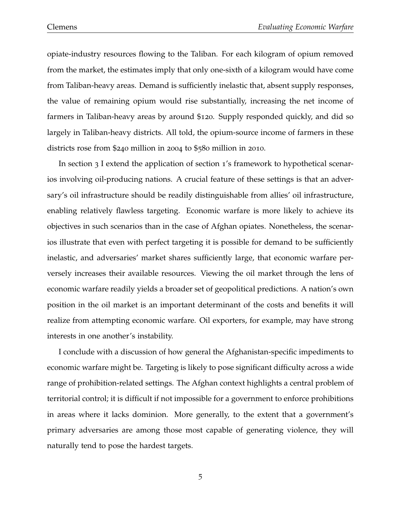opiate-industry resources flowing to the Taliban. For each kilogram of opium removed from the market, the estimates imply that only one-sixth of a kilogram would have come from Taliban-heavy areas. Demand is sufficiently inelastic that, absent supply responses, the value of remaining opium would rise substantially, increasing the net income of farmers in Taliban-heavy areas by around \$120. Supply responded quickly, and did so largely in Taliban-heavy districts. All told, the opium-source income of farmers in these districts rose from \$240 million in 2004 to \$580 million in 2010.

In section 3 I extend the application of section 1's framework to hypothetical scenarios involving oil-producing nations. A crucial feature of these settings is that an adversary's oil infrastructure should be readily distinguishable from allies' oil infrastructure, enabling relatively flawless targeting. Economic warfare is more likely to achieve its objectives in such scenarios than in the case of Afghan opiates. Nonetheless, the scenarios illustrate that even with perfect targeting it is possible for demand to be sufficiently inelastic, and adversaries' market shares sufficiently large, that economic warfare perversely increases their available resources. Viewing the oil market through the lens of economic warfare readily yields a broader set of geopolitical predictions. A nation's own position in the oil market is an important determinant of the costs and benefits it will realize from attempting economic warfare. Oil exporters, for example, may have strong interests in one another's instability.

I conclude with a discussion of how general the Afghanistan-specific impediments to economic warfare might be. Targeting is likely to pose significant difficulty across a wide range of prohibition-related settings. The Afghan context highlights a central problem of territorial control; it is difficult if not impossible for a government to enforce prohibitions in areas where it lacks dominion. More generally, to the extent that a government's primary adversaries are among those most capable of generating violence, they will naturally tend to pose the hardest targets.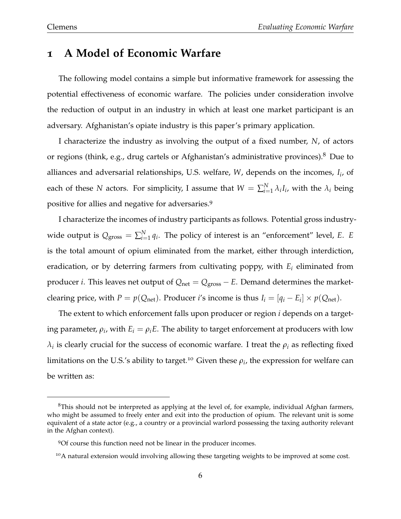### **1 A Model of Economic Warfare**

The following model contains a simple but informative framework for assessing the potential effectiveness of economic warfare. The policies under consideration involve the reduction of output in an industry in which at least one market participant is an adversary. Afghanistan's opiate industry is this paper's primary application.

I characterize the industry as involving the output of a fixed number, *N*, of actors or regions (think, e.g., drug cartels or Afghanistan's administrative provinces).<sup>8</sup> Due to alliances and adversarial relationships, U.S. welfare, *W*, depends on the incomes, *I<sup>i</sup>* , of each of these *N* actors. For simplicity, I assume that  $W = \sum_{i=1}^{N} \lambda_i I_i$ , with the  $\lambda_i$  being positive for allies and negative for adversaries.<sup>9</sup>

I characterize the incomes of industry participants as follows. Potential gross industrywide output is  $Q_{\text{gross}} = \sum_{i=1}^{N} q_i$ . The policy of interest is an "enforcement" level, *E*. *E* is the total amount of opium eliminated from the market, either through interdiction, eradication, or by deterring farmers from cultivating poppy, with *E<sup>i</sup>* eliminated from producer *i*. This leaves net output of *Q*net = *Q*gross − *E*. Demand determines the marketclearing price, with  $P = p(Q_{\text{net}})$ . Producer *i*'s income is thus  $I_i = [q_i - E_i] \times p(Q_{\text{net}})$ .

The extent to which enforcement falls upon producer or region *i* depends on a targeting parameter,  $\rho_i$ , with  $E_i = \rho_i E$ . The ability to target enforcement at producers with low  $\lambda_i$  is clearly crucial for the success of economic warfare. I treat the  $\rho_i$  as reflecting fixed limitations on the U.S.'s ability to target.<sup>10</sup> Given these  $\rho_i$ , the expression for welfare can be written as:

 $8$ This should not be interpreted as applying at the level of, for example, individual Afghan farmers, who might be assumed to freely enter and exit into the production of opium. The relevant unit is some equivalent of a state actor (e.g., a country or a provincial warlord possessing the taxing authority relevant in the Afghan context).

<sup>9</sup>Of course this function need not be linear in the producer incomes.

<sup>&</sup>lt;sup>10</sup>A natural extension would involving allowing these targeting weights to be improved at some cost.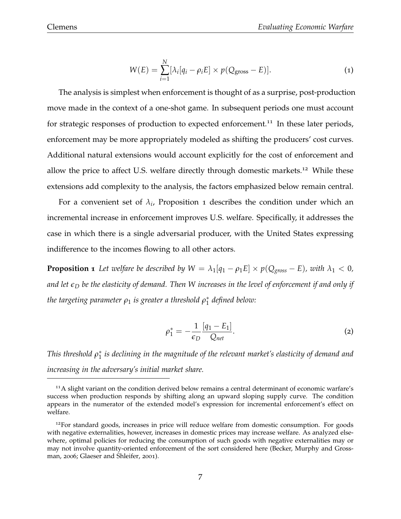$$
W(E) = \sum_{i=1}^{N} [\lambda_i[q_i - \rho_i E] \times p(Q_{\text{gross}} - E)].
$$
 (1)

The analysis is simplest when enforcement is thought of as a surprise, post-production move made in the context of a one-shot game. In subsequent periods one must account for strategic responses of production to expected enforcement.<sup>11</sup> In these later periods, enforcement may be more appropriately modeled as shifting the producers' cost curves. Additional natural extensions would account explicitly for the cost of enforcement and allow the price to affect U.S. welfare directly through domestic markets.<sup>12</sup> While these extensions add complexity to the analysis, the factors emphasized below remain central.

For a convenient set of  $\lambda_i$ , Proposition 1 describes the condition under which an incremental increase in enforcement improves U.S. welfare. Specifically, it addresses the case in which there is a single adversarial producer, with the United States expressing indifference to the incomes flowing to all other actors.

**Proposition 1** *Let welfare be described by*  $W = \lambda_1[q_1 - \rho_1 E] \times p(Q_{\text{gross}} - E)$ *, with*  $\lambda_1 < 0$ *, and let ǫ<sup>D</sup> be the elasticity of demand. Then W increases in the level of enforcement if and only if the targeting parameter ρ*<sup>1</sup> *is greater a threshold ρ* ∗ 1 *defined below:*

$$
\rho_1^* = -\frac{1}{\epsilon_D} \frac{[q_1 - E_1]}{Q_{net}}.
$$
\n(2)

*This threshold ρ* ∗  $_1^\ast$  is declining in the magnitude of the relevant market's elasticity of demand and *increasing in the adversary's initial market share.*

<sup>&</sup>lt;sup>11</sup>A slight variant on the condition derived below remains a central determinant of economic warfare's success when production responds by shifting along an upward sloping supply curve. The condition appears in the numerator of the extended model's expression for incremental enforcement's effect on welfare.

<sup>&</sup>lt;sup>12</sup>For standard goods, increases in price will reduce welfare from domestic consumption. For goods with negative externalities, however, increases in domestic prices may increase welfare. As analyzed elsewhere, optimal policies for reducing the consumption of such goods with negative externalities may or may not involve quantity-oriented enforcement of the sort considered here (Becker, Murphy and Grossman, 2006; Glaeser and Shleifer, 2001).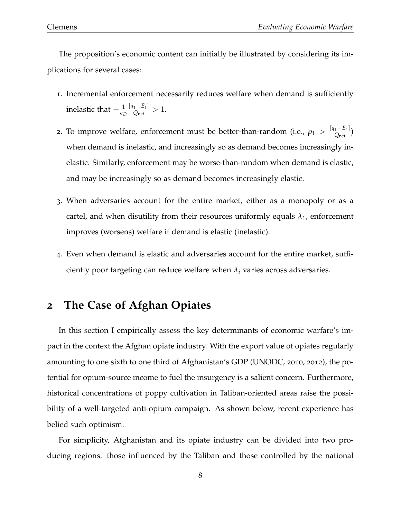The proposition's economic content can initially be illustrated by considering its implications for several cases:

- 1. Incremental enforcement necessarily reduces welfare when demand is sufficiently inelastic that  $-\frac{1}{\epsilon_D}$  $[q_1-E_1]$  $\frac{1-E_1|}{Q_{\text{net}}} > 1.$
- 2. To improve welfare, enforcement must be better-than-random (i.e.,  $\rho_1 > \frac{[q_1-E_1]}{O_{net}}$  $\frac{1 - L_1}{Q_{\text{net}}}$ when demand is inelastic, and increasingly so as demand becomes increasingly inelastic. Similarly, enforcement may be worse-than-random when demand is elastic, and may be increasingly so as demand becomes increasingly elastic.
- 3. When adversaries account for the entire market, either as a monopoly or as a cartel, and when disutility from their resources uniformly equals  $\lambda_1$ , enforcement improves (worsens) welfare if demand is elastic (inelastic).
- 4. Even when demand is elastic and adversaries account for the entire market, sufficiently poor targeting can reduce welfare when  $\lambda_i$  varies across adversaries.

### **2 The Case of Afghan Opiates**

In this section I empirically assess the key determinants of economic warfare's impact in the context the Afghan opiate industry. With the export value of opiates regularly amounting to one sixth to one third of Afghanistan's GDP (UNODC, 2010, 2012), the potential for opium-source income to fuel the insurgency is a salient concern. Furthermore, historical concentrations of poppy cultivation in Taliban-oriented areas raise the possibility of a well-targeted anti-opium campaign. As shown below, recent experience has belied such optimism.

For simplicity, Afghanistan and its opiate industry can be divided into two producing regions: those influenced by the Taliban and those controlled by the national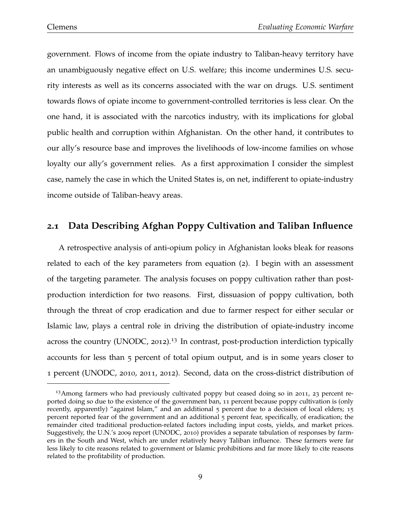government. Flows of income from the opiate industry to Taliban-heavy territory have an unambiguously negative effect on U.S. welfare; this income undermines U.S. security interests as well as its concerns associated with the war on drugs. U.S. sentiment towards flows of opiate income to government-controlled territories is less clear. On the one hand, it is associated with the narcotics industry, with its implications for global public health and corruption within Afghanistan. On the other hand, it contributes to our ally's resource base and improves the livelihoods of low-income families on whose loyalty our ally's government relies. As a first approximation I consider the simplest case, namely the case in which the United States is, on net, indifferent to opiate-industry income outside of Taliban-heavy areas.

### **2.1 Data Describing Afghan Poppy Cultivation and Taliban Influence**

A retrospective analysis of anti-opium policy in Afghanistan looks bleak for reasons related to each of the key parameters from equation (2). I begin with an assessment of the targeting parameter. The analysis focuses on poppy cultivation rather than postproduction interdiction for two reasons. First, dissuasion of poppy cultivation, both through the threat of crop eradication and due to farmer respect for either secular or Islamic law, plays a central role in driving the distribution of opiate-industry income across the country (UNODC, 2012).<sup>13</sup> In contrast, post-production interdiction typically accounts for less than 5 percent of total opium output, and is in some years closer to 1 percent (UNODC, 2010, 2011, 2012). Second, data on the cross-district distribution of

<sup>&</sup>lt;sup>13</sup>Among farmers who had previously cultivated poppy but ceased doing so in 2011, 23 percent reported doing so due to the existence of the government ban, 11 percent because poppy cultivation is (only recently, apparently) "against Islam," and an additional 5 percent due to a decision of local elders; 15 percent reported fear of the government and an additional 5 percent fear, specifically, of eradication; the remainder cited traditional production-related factors including input costs, yields, and market prices. Suggestively, the U.N.'s 2009 report (UNODC, 2010) provides a separate tabulation of responses by farmers in the South and West, which are under relatively heavy Taliban influence. These farmers were far less likely to cite reasons related to government or Islamic prohibitions and far more likely to cite reasons related to the profitability of production.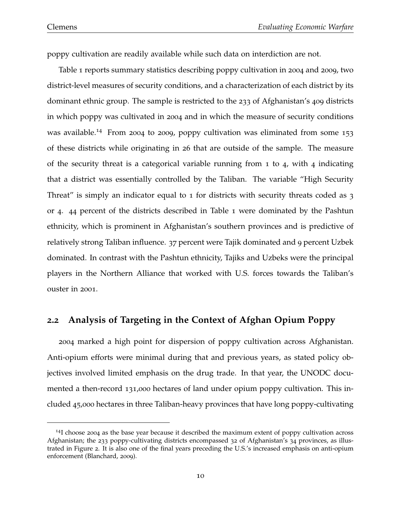poppy cultivation are readily available while such data on interdiction are not.

Table 1 reports summary statistics describing poppy cultivation in 2004 and 2009, two district-level measures of security conditions, and a characterization of each district by its dominant ethnic group. The sample is restricted to the 233 of Afghanistan's 409 districts in which poppy was cultivated in 2004 and in which the measure of security conditions was available.<sup>14</sup> From 2004 to 2009, poppy cultivation was eliminated from some 153 of these districts while originating in 26 that are outside of the sample. The measure of the security threat is a categorical variable running from 1 to 4, with 4 indicating that a district was essentially controlled by the Taliban. The variable "High Security Threat" is simply an indicator equal to 1 for districts with security threats coded as 3 or 4. 44 percent of the districts described in Table 1 were dominated by the Pashtun ethnicity, which is prominent in Afghanistan's southern provinces and is predictive of relatively strong Taliban influence. 37 percent were Tajik dominated and 9 percent Uzbek dominated. In contrast with the Pashtun ethnicity, Tajiks and Uzbeks were the principal players in the Northern Alliance that worked with U.S. forces towards the Taliban's ouster in 2001.

#### **2.2 Analysis of Targeting in the Context of Afghan Opium Poppy**

2004 marked a high point for dispersion of poppy cultivation across Afghanistan. Anti-opium efforts were minimal during that and previous years, as stated policy objectives involved limited emphasis on the drug trade. In that year, the UNODC documented a then-record 131,000 hectares of land under opium poppy cultivation. This included 45,000 hectares in three Taliban-heavy provinces that have long poppy-cultivating

<sup>&</sup>lt;sup>14</sup>I choose 2004 as the base year because it described the maximum extent of poppy cultivation across Afghanistan; the 233 poppy-cultivating districts encompassed 32 of Afghanistan's 34 provinces, as illustrated in Figure 2. It is also one of the final years preceding the U.S.'s increased emphasis on anti-opium enforcement (Blanchard, 2009).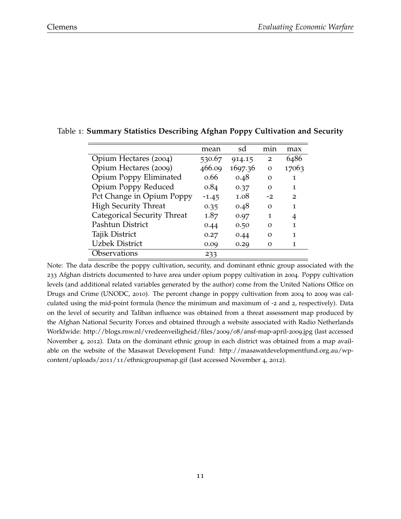|                             | mean    | sd      | m <sub>1</sub> n | max   |
|-----------------------------|---------|---------|------------------|-------|
| Opium Hectares (2004)       | 530.67  | 914.15  | $\overline{2}$   | 6486  |
| Opium Hectares (2009)       | 466.09  | 1697.36 | $\Omega$         | 17063 |
| Opium Poppy Eliminated      | 0.66    | 0.48    | O                | 1     |
| Opium Poppy Reduced         | 0.84    | 0.37    | O                | 1     |
| Pct Change in Opium Poppy   | $-1.45$ | 1.08    | $-2$             | 2     |
| <b>High Security Threat</b> | 0.35    | 0.48    | O                | 1     |
| Categorical Security Threat | 1.87    | 0.97    | 1                | 4     |
| Pashtun District            | 0.44    | 0.50    | Ω                | 1     |
| Tajik District              | 0.27    | 0.44    | Ω                | 1     |
| <b>Uzbek District</b>       | 0.09    | 0.29    | О                | 1     |
| Observations                | 233     |         |                  |       |

#### Table 1: **Summary Statistics Describing Afghan Poppy Cultivation and Security**

Note: The data describe the poppy cultivation, security, and dominant ethnic group associated with the 233 Afghan districts documented to have area under opium poppy cultivation in 2004. Poppy cultivation levels (and additional related variables generated by the author) come from the United Nations Office on Drugs and Crime (UNODC, 2010). The percent change in poppy cultivation from 2004 to 2009 was calculated using the mid-point formula (hence the minimum and maximum of -2 and 2, respectively). Data on the level of security and Taliban influence was obtained from a threat assessment map produced by the Afghan National Security Forces and obtained through a website associated with Radio Netherlands Worldwide: http://blogs.rnw.nl/vredeenveiligheid/files/2009/08/ansf-map-april-2009.jpg (last accessed November 4, 2012). Data on the dominant ethnic group in each district was obtained from a map available on the website of the Masawat Development Fund: http://masawatdevelopmentfund.org.au/wpcontent/uploads/2011/11/ethnicgroupsmap.gif (last accessed November 4, 2012).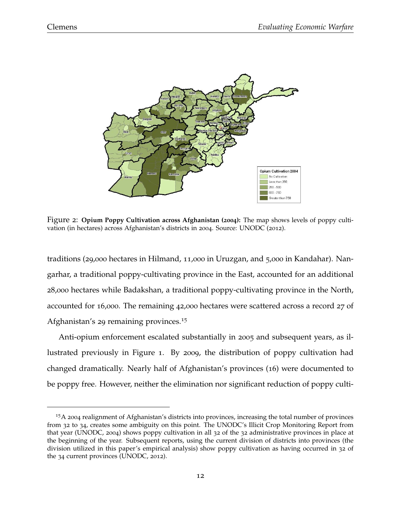

Figure 2: **Opium Poppy Cultivation across Afghanistan (2004):** The map shows levels of poppy cultivation (in hectares) across Afghanistan's districts in 2004. Source: UNODC (2012).

traditions (29,000 hectares in Hilmand, 11,000 in Uruzgan, and 5,000 in Kandahar). Nangarhar, a traditional poppy-cultivating province in the East, accounted for an additional 28,000 hectares while Badakshan, a traditional poppy-cultivating province in the North, accounted for 16,000. The remaining 42,000 hectares were scattered across a record 27 of Afghanistan's 29 remaining provinces.<sup>15</sup>

Anti-opium enforcement escalated substantially in 2005 and subsequent years, as illustrated previously in Figure 1. By 2009, the distribution of poppy cultivation had changed dramatically. Nearly half of Afghanistan's provinces (16) were documented to be poppy free. However, neither the elimination nor significant reduction of poppy culti-

<sup>15</sup>A 2004 realignment of Afghanistan's districts into provinces, increasing the total number of provinces from 32 to 34, creates some ambiguity on this point. The UNODC's Illicit Crop Monitoring Report from that year (UNODC, 2004) shows poppy cultivation in all 32 of the 32 administrative provinces in place at the beginning of the year. Subsequent reports, using the current division of districts into provinces (the division utilized in this paper's empirical analysis) show poppy cultivation as having occurred in 32 of the 34 current provinces (UNODC, 2012).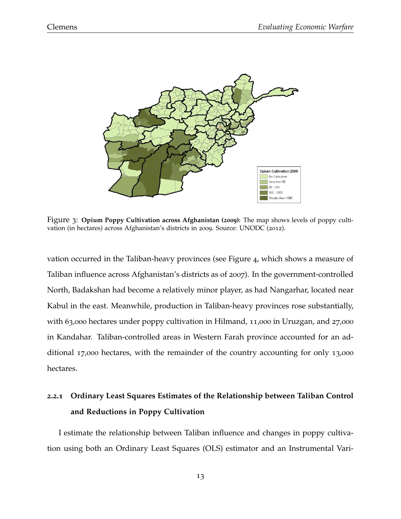

Figure 3: **Opium Poppy Cultivation across Afghanistan (2009):** The map shows levels of poppy cultivation (in hectares) across Afghanistan's districts in 2009. Source: UNODC (2012).

vation occurred in the Taliban-heavy provinces (see Figure 4, which shows a measure of Taliban influence across Afghanistan's districts as of 2007). In the government-controlled North, Badakshan had become a relatively minor player, as had Nangarhar, located near Kabul in the east. Meanwhile, production in Taliban-heavy provinces rose substantially, with 63,000 hectares under poppy cultivation in Hilmand, 11,000 in Uruzgan, and 27,000 in Kandahar. Taliban-controlled areas in Western Farah province accounted for an additional 17,000 hectares, with the remainder of the country accounting for only 13,000 hectares.

# **2.2.1 Ordinary Least Squares Estimates of the Relationship between Taliban Control and Reductions in Poppy Cultivation**

I estimate the relationship between Taliban influence and changes in poppy cultivation using both an Ordinary Least Squares (OLS) estimator and an Instrumental Vari-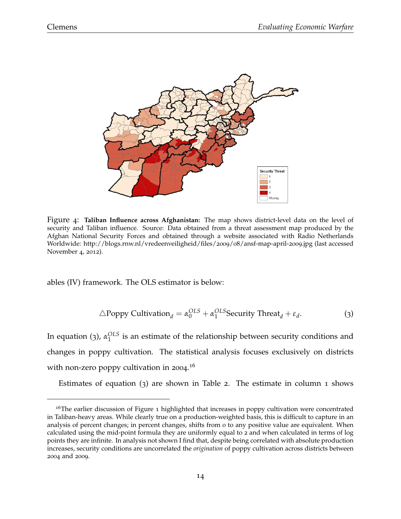

Figure 4: **Taliban Influence across Afghanistan:** The map shows district-level data on the level of security and Taliban influence. Source: Data obtained from a threat assessment map produced by the Afghan National Security Forces and obtained through a website associated with Radio Netherlands Worldwide: http://blogs.rnw.nl/vredeenveiligheid/files/2009/08/ansf-map-april-2009.jpg (last accessed November 4, 2012).

ables (IV) framework. The OLS estimator is below:

$$
\triangle \text{Poppy}\text{Cultivation}_d = \alpha_0^{OLS} + \alpha_1^{OLS} \text{Security Thread}_d + \varepsilon_d. \tag{3}
$$

In equation (3), *α OLS*  $\frac{1}{1}$  is an estimate of the relationship between security conditions and changes in poppy cultivation. The statistical analysis focuses exclusively on districts with non-zero poppy cultivation in 2004.<sup>16</sup>

Estimates of equation (3) are shown in Table 2. The estimate in column 1 shows

<sup>&</sup>lt;sup>16</sup>The earlier discussion of Figure 1 highlighted that increases in poppy cultivation were concentrated in Taliban-heavy areas. While clearly true on a production-weighted basis, this is difficult to capture in an analysis of percent changes; in percent changes, shifts from 0 to any positive value are equivalent. When calculated using the mid-point formula they are uniformly equal to 2 and when calculated in terms of log points they are infinite. In analysis not shown I find that, despite being correlated with absolute production increases, security conditions are uncorrelated the *origination* of poppy cultivation across districts between 2004 and 2009.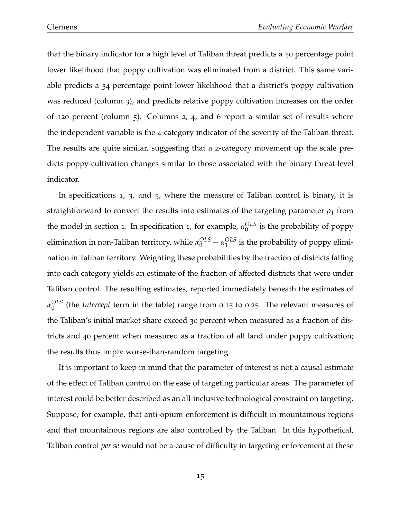that the binary indicator for a high level of Taliban threat predicts a 50 percentage point lower likelihood that poppy cultivation was eliminated from a district. This same variable predicts a 34 percentage point lower likelihood that a district's poppy cultivation was reduced (column 3), and predicts relative poppy cultivation increases on the order of 120 percent (column 5). Columns 2, 4, and 6 report a similar set of results where the independent variable is the 4-category indicator of the severity of the Taliban threat. The results are quite similar, suggesting that a 2-category movement up the scale predicts poppy-cultivation changes similar to those associated with the binary threat-level indicator.

In specifications 1, 3, and 5, where the measure of Taliban control is binary, it is straightforward to convert the results into estimates of the targeting parameter  $\rho_1$  from the model in section 1. In specification 1, for example,  $α_0^{OLS}$  $\frac{0}{0}$  is the probability of poppy elimination in non-Taliban territory, while  $\alpha_0^{OLS} + \alpha_1^{OLS}$  $_1^{OLS}$  is the probability of poppy elimination in Taliban territory. Weighting these probabilities by the fraction of districts falling into each category yields an estimate of the fraction of affected districts that were under Taliban control. The resulting estimates, reported immediately beneath the estimates of *α OLS*  $^{OLS}_{0}$  (the *Intercept* term in the table) range from 0.15 to 0.25. The relevant measures of the Taliban's initial market share exceed 30 percent when measured as a fraction of districts and 40 percent when measured as a fraction of all land under poppy cultivation; the results thus imply worse-than-random targeting.

It is important to keep in mind that the parameter of interest is not a causal estimate of the effect of Taliban control on the ease of targeting particular areas. The parameter of interest could be better described as an all-inclusive technological constraint on targeting. Suppose, for example, that anti-opium enforcement is difficult in mountainous regions and that mountainous regions are also controlled by the Taliban. In this hypothetical, Taliban control *per se* would not be a cause of difficulty in targeting enforcement at these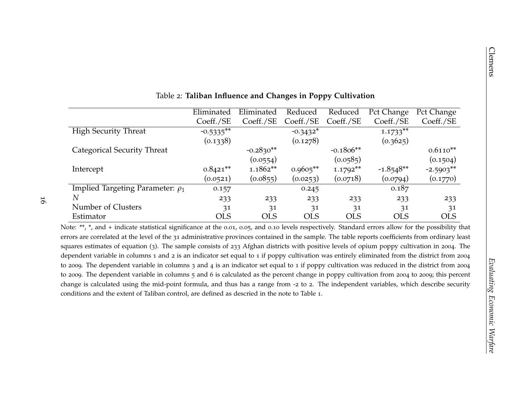| Coeff./SE<br><b>High Security Threat</b><br>$-0.5335**$<br>(0.1338)<br>Categorical Security Threat<br>$0.8421**$<br>Intercept<br>(0.0521)<br>Implied Targeting Parameter: $\rho_1$<br>N                                                                                                                                                                                                                                                                                                                                                                                                                                                                                                                                                                                                                                                                                                                                                                                                      | 0.157      | Coeff./SE<br>$-0.2830**$<br>(0.0554)<br>$1.1862**$<br>(0.0855) | Coeff./SE<br>$-0.3432*$<br>(0.1278)<br>$0.9605**$ | Coeff./SE<br>$-0.1806**$<br>(0.0585)<br>$1.1792**$ | Coeff./SE<br>$1.1733**$<br>(0.3625) | Coeff./SE<br>$0.6110**$<br>(0.1504) |
|----------------------------------------------------------------------------------------------------------------------------------------------------------------------------------------------------------------------------------------------------------------------------------------------------------------------------------------------------------------------------------------------------------------------------------------------------------------------------------------------------------------------------------------------------------------------------------------------------------------------------------------------------------------------------------------------------------------------------------------------------------------------------------------------------------------------------------------------------------------------------------------------------------------------------------------------------------------------------------------------|------------|----------------------------------------------------------------|---------------------------------------------------|----------------------------------------------------|-------------------------------------|-------------------------------------|
|                                                                                                                                                                                                                                                                                                                                                                                                                                                                                                                                                                                                                                                                                                                                                                                                                                                                                                                                                                                              |            |                                                                |                                                   |                                                    |                                     |                                     |
|                                                                                                                                                                                                                                                                                                                                                                                                                                                                                                                                                                                                                                                                                                                                                                                                                                                                                                                                                                                              |            |                                                                |                                                   |                                                    |                                     |                                     |
|                                                                                                                                                                                                                                                                                                                                                                                                                                                                                                                                                                                                                                                                                                                                                                                                                                                                                                                                                                                              |            |                                                                |                                                   |                                                    |                                     |                                     |
|                                                                                                                                                                                                                                                                                                                                                                                                                                                                                                                                                                                                                                                                                                                                                                                                                                                                                                                                                                                              |            |                                                                |                                                   |                                                    |                                     |                                     |
|                                                                                                                                                                                                                                                                                                                                                                                                                                                                                                                                                                                                                                                                                                                                                                                                                                                                                                                                                                                              |            |                                                                |                                                   |                                                    |                                     |                                     |
|                                                                                                                                                                                                                                                                                                                                                                                                                                                                                                                                                                                                                                                                                                                                                                                                                                                                                                                                                                                              |            |                                                                |                                                   |                                                    | $-1.8548**$                         | $-2.5903**$                         |
|                                                                                                                                                                                                                                                                                                                                                                                                                                                                                                                                                                                                                                                                                                                                                                                                                                                                                                                                                                                              |            |                                                                | (0.0253)                                          | (0.0718)                                           | (0.0794)                            | (0.1770)                            |
|                                                                                                                                                                                                                                                                                                                                                                                                                                                                                                                                                                                                                                                                                                                                                                                                                                                                                                                                                                                              |            |                                                                | 0.245                                             |                                                    | 0.187                               |                                     |
|                                                                                                                                                                                                                                                                                                                                                                                                                                                                                                                                                                                                                                                                                                                                                                                                                                                                                                                                                                                              | 233        | 233                                                            | 233                                               | 233                                                | 233                                 | 233                                 |
| Number of Clusters                                                                                                                                                                                                                                                                                                                                                                                                                                                                                                                                                                                                                                                                                                                                                                                                                                                                                                                                                                           | 31         | 31                                                             | 31                                                | 31                                                 | 31                                  | 31                                  |
| Estimator                                                                                                                                                                                                                                                                                                                                                                                                                                                                                                                                                                                                                                                                                                                                                                                                                                                                                                                                                                                    | <b>OLS</b> | <b>OLS</b>                                                     | <b>OLS</b>                                        | <b>OLS</b>                                         | <b>OLS</b>                          | <b>OLS</b>                          |
| errors are correlated at the level of the 31 administrative provinces contained in the sample. The table reports coefficients from ordinary least<br>squares estimates of equation (3). The sample consists of 233 Afghan districts with positive levels of opium poppy cultivation in 2004. The<br>dependent variable in columns 1 and 2 is an indicator set equal to 1 if poppy cultivation was entirely eliminated from the district from 2004<br>to 2009. The dependent variable in columns 3 and 4 is an indicator set equal to 1 if poppy cultivation was reduced in the district from 2004<br>to 2009. The dependent variable in columns 5 and 6 is calculated as the percent change in poppy cultivation from 2004 to 2009; this percent<br>change is calculated using the mid-point formula, and thus has a range from -2 to 2. The independent variables, which describe security<br>conditions and the extent of Taliban control, are defined as descried in the note to Table 1. |            |                                                                |                                                   |                                                    |                                     |                                     |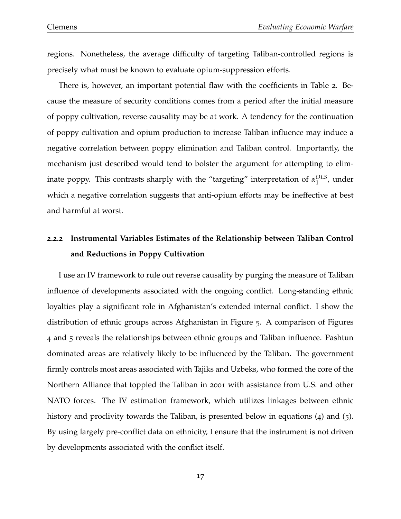regions. Nonetheless, the average difficulty of targeting Taliban-controlled regions is precisely what must be known to evaluate opium-suppression efforts.

There is, however, an important potential flaw with the coefficients in Table 2. Because the measure of security conditions comes from a period after the initial measure of poppy cultivation, reverse causality may be at work. A tendency for the continuation of poppy cultivation and opium production to increase Taliban influence may induce a negative correlation between poppy elimination and Taliban control. Importantly, the mechanism just described would tend to bolster the argument for attempting to eliminate poppy. This contrasts sharply with the "targeting" interpretation of  $α_1^{OLS}$  $_1^{\text{OLS}}$ , under which a negative correlation suggests that anti-opium efforts may be ineffective at best and harmful at worst.

# **2.2.2 Instrumental Variables Estimates of the Relationship between Taliban Control and Reductions in Poppy Cultivation**

I use an IV framework to rule out reverse causality by purging the measure of Taliban influence of developments associated with the ongoing conflict. Long-standing ethnic loyalties play a significant role in Afghanistan's extended internal conflict. I show the distribution of ethnic groups across Afghanistan in Figure 5. A comparison of Figures 4 and 5 reveals the relationships between ethnic groups and Taliban influence. Pashtun dominated areas are relatively likely to be influenced by the Taliban. The government firmly controls most areas associated with Tajiks and Uzbeks, who formed the core of the Northern Alliance that toppled the Taliban in 2001 with assistance from U.S. and other NATO forces. The IV estimation framework, which utilizes linkages between ethnic history and proclivity towards the Taliban, is presented below in equations (4) and (5). By using largely pre-conflict data on ethnicity, I ensure that the instrument is not driven by developments associated with the conflict itself.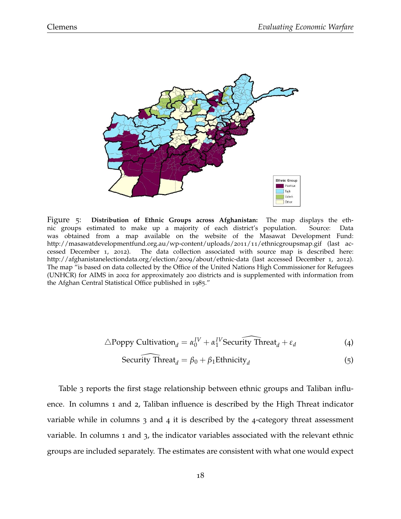

Figure 5: **Distribution of Ethnic Groups across Afghanistan:** The map displays the ethnic groups estimated to make up a majority of each district's population. Source: Data was obtained from a map available on the website of the Masawat Development Fund: http://masawatdevelopmentfund.org.au/wp-content/uploads/2011/11/ethnicgroupsmap.gif (last accessed December 1, 2012). The data collection associated with source map is described here: http://afghanistanelectiondata.org/election/2009/about/ethnic-data (last accessed December 1, 2012). The map "is based on data collected by the Office of the United Nations High Commissioner for Refugees (UNHCR) for AIMS in 2002 for approximately 200 districts and is supplemented with information from the Afghan Central Statistical Office published in 1985."

$$
\triangle \text{Poppy}\text{Cultivation}_d = \alpha_0^{IV} + \alpha_1^{IV} \text{Security Thread}_d + \varepsilon_d \tag{4}
$$

Security Thread<sub>d</sub> = 
$$
\beta_0 + \beta_1
$$
Ethnicity<sub>d</sub> (5)

Table 3 reports the first stage relationship between ethnic groups and Taliban influence. In columns 1 and 2, Taliban influence is described by the High Threat indicator variable while in columns 3 and 4 it is described by the 4-category threat assessment variable. In columns 1 and 3, the indicator variables associated with the relevant ethnic groups are included separately. The estimates are consistent with what one would expect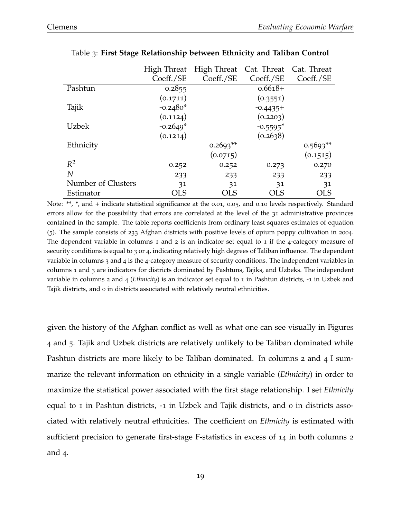|                    | High Threat | <b>High Threat</b> | Cat. Threat | Cat. Threat |
|--------------------|-------------|--------------------|-------------|-------------|
|                    | Coeff./SE   | Coeff./SE          | Coeff./SE   | Coeff./SE   |
| Pashtun            | 0.2855      |                    | $0.6618+$   |             |
|                    | (0.1711)    |                    | (0.3551)    |             |
| Tajik              | $-0.2480*$  |                    | $-0.4435+$  |             |
|                    | (0.1124)    |                    | (0.2203)    |             |
| <b>Uzbek</b>       | $-0.2649*$  |                    | $-0.5595*$  |             |
|                    | (0.1214)    |                    | (0.2638)    |             |
| Ethnicity          |             | $0.2693**$         |             | $0.5693**$  |
|                    |             | (0.0715)           |             | (0.1515)    |
| $R^2$              | 0.252       | 0.252              | 0.273       | 0.270       |
| $\overline{N}$     | 233         | 233                | 233         | 233         |
| Number of Clusters | 31          | 31                 | 31          | 31          |
| Estimator          | OLS         | OLS                | <b>OLS</b>  | OLS         |

Table 3: **First Stage Relationship between Ethnicity and Taliban Control**

Note: \*\*, \*, and + indicate statistical significance at the 0.01, 0.05, and 0.10 levels respectively. Standard errors allow for the possibility that errors are correlated at the level of the 31 administrative provinces contained in the sample. The table reports coefficients from ordinary least squares estimates of equation (5). The sample consists of 233 Afghan districts with positive levels of opium poppy cultivation in 2004. The dependent variable in columns 1 and 2 is an indicator set equal to 1 if the 4-category measure of security conditions is equal to 3 or 4, indicating relatively high degrees of Taliban influence. The dependent variable in columns 3 and 4 is the 4-category measure of security conditions. The independent variables in columns 1 and 3 are indicators for districts dominated by Pashtuns, Tajiks, and Uzbeks. The independent variable in columns 2 and 4 (*Ethnicity*) is an indicator set equal to 1 in Pashtun districts, -1 in Uzbek and Tajik districts, and 0 in districts associated with relatively neutral ethnicities.

given the history of the Afghan conflict as well as what one can see visually in Figures 4 and 5. Tajik and Uzbek districts are relatively unlikely to be Taliban dominated while Pashtun districts are more likely to be Taliban dominated. In columns 2 and 4 I summarize the relevant information on ethnicity in a single variable (*Ethnicity*) in order to maximize the statistical power associated with the first stage relationship. I set *Ethnicity* equal to 1 in Pashtun districts, -1 in Uzbek and Tajik districts, and 0 in districts associated with relatively neutral ethnicities. The coefficient on *Ethnicity* is estimated with sufficient precision to generate first-stage F-statistics in excess of 14 in both columns 2 and 4.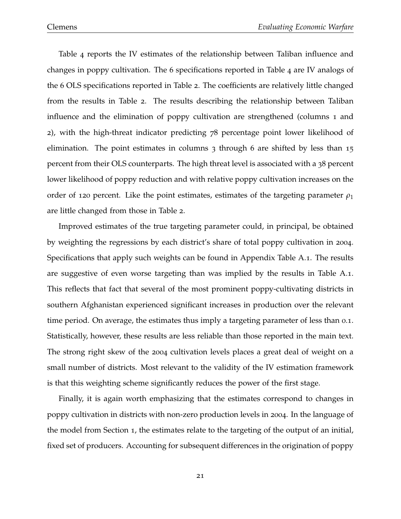Table 4 reports the IV estimates of the relationship between Taliban influence and changes in poppy cultivation. The 6 specifications reported in Table 4 are IV analogs of the 6 OLS specifications reported in Table 2. The coefficients are relatively little changed from the results in Table 2. The results describing the relationship between Taliban influence and the elimination of poppy cultivation are strengthened (columns 1 and 2), with the high-threat indicator predicting 78 percentage point lower likelihood of elimination. The point estimates in columns 3 through 6 are shifted by less than 15 percent from their OLS counterparts. The high threat level is associated with a 38 percent lower likelihood of poppy reduction and with relative poppy cultivation increases on the order of 120 percent. Like the point estimates, estimates of the targeting parameter  $\rho_1$ are little changed from those in Table 2.

Improved estimates of the true targeting parameter could, in principal, be obtained by weighting the regressions by each district's share of total poppy cultivation in 2004. Specifications that apply such weights can be found in Appendix Table A.1. The results are suggestive of even worse targeting than was implied by the results in Table A.1. This reflects that fact that several of the most prominent poppy-cultivating districts in southern Afghanistan experienced significant increases in production over the relevant time period. On average, the estimates thus imply a targeting parameter of less than 0.1. Statistically, however, these results are less reliable than those reported in the main text. The strong right skew of the 2004 cultivation levels places a great deal of weight on a small number of districts. Most relevant to the validity of the IV estimation framework is that this weighting scheme significantly reduces the power of the first stage.

Finally, it is again worth emphasizing that the estimates correspond to changes in poppy cultivation in districts with non-zero production levels in 2004. In the language of the model from Section 1, the estimates relate to the targeting of the output of an initial, fixed set of producers. Accounting for subsequent differences in the origination of poppy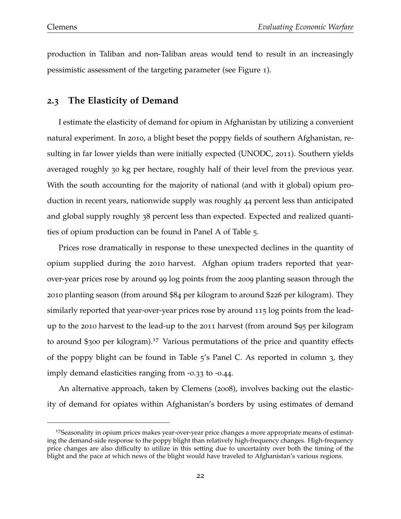production in Taliban and non-Taliban areas would tend to result in an increasingly pessimistic assessment of the targeting parameter (see Figure 1).

### **2.3 The Elasticity of Demand**

I estimate the elasticity of demand for opium in Afghanistan by utilizing a convenient natural experiment. In 2010, a blight beset the poppy fields of southern Afghanistan, resulting in far lower yields than were initially expected (UNODC, 2011). Southern yields averaged roughly 30 kg per hectare, roughly half of their level from the previous year. With the south accounting for the majority of national (and with it global) opium production in recent years, nationwide supply was roughly 44 percent less than anticipated and global supply roughly 38 percent less than expected. Expected and realized quantities of opium production can be found in Panel A of Table 5.

Prices rose dramatically in response to these unexpected declines in the quantity of opium supplied during the 2010 harvest. Afghan opium traders reported that yearover-year prices rose by around 99 log points from the 2009 planting season through the 2010 planting season (from around \$84 per kilogram to around \$226 per kilogram). They similarly reported that year-over-year prices rose by around 115 log points from the leadup to the 2010 harvest to the lead-up to the 2011 harvest (from around \$95 per kilogram to around \$300 per kilogram).<sup>17</sup> Various permutations of the price and quantity effects of the poppy blight can be found in Table 5's Panel C. As reported in column 3, they imply demand elasticities ranging from -0.33 to -0.44.

An alternative approach, taken by Clemens (2008), involves backing out the elasticity of demand for opiates within Afghanistan's borders by using estimates of demand

<sup>&</sup>lt;sup>17</sup>Seasonality in opium prices makes year-over-year price changes a more appropriate means of estimating the demand-side response to the poppy blight than relatively high-frequency changes. High-frequency price changes are also difficulty to utilize in this setting due to uncertainty over both the timing of the blight and the pace at which news of the blight would have traveled to Afghanistan's various regions.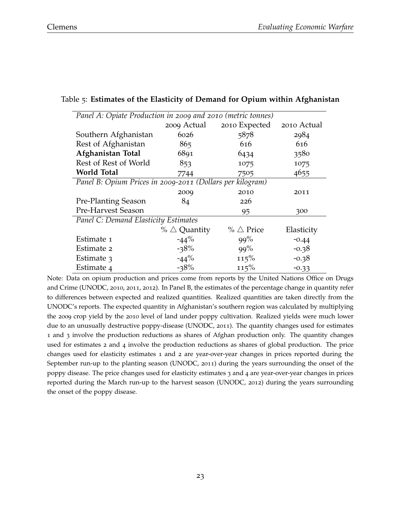| Panel A: Opiate Production in 2009 and 2010 (metric tonnes) |                        |                        |             |  |  |  |
|-------------------------------------------------------------|------------------------|------------------------|-------------|--|--|--|
|                                                             | 2009 Actual            | 2010 Expected          | 2010 Actual |  |  |  |
| Southern Afghanistan                                        | 6026                   | 5878                   | 2984        |  |  |  |
| Rest of Afghanistan                                         | 865                    | 616                    | 616         |  |  |  |
| Afghanistan Total                                           | 6891                   | 6434                   | 3580        |  |  |  |
| Rest of Rest of World                                       | 853                    | 1075                   | 1075        |  |  |  |
| <b>World Total</b>                                          | 7744                   | 7505                   | 4655        |  |  |  |
| Panel B: Opium Prices in 2009-2011 (Dollars per kilogram)   |                        |                        |             |  |  |  |
|                                                             | 2009                   | 2010                   | 2011        |  |  |  |
| <b>Pre-Planting Season</b>                                  | 84                     | 226                    |             |  |  |  |
| <b>Pre-Harvest Season</b>                                   |                        | 95                     | 300         |  |  |  |
| Panel C: Demand Elasticity Estimates                        |                        |                        |             |  |  |  |
|                                                             | % $\triangle$ Quantity | $\%$ $\triangle$ Price | Elasticity  |  |  |  |
| Estimate 1                                                  | $-44\%$                | 99%                    | $-0.44$     |  |  |  |
| Estimate 2                                                  | $-38%$                 | 99%                    | $-0.38$     |  |  |  |
| Estimate 3                                                  | $-44%$                 | 115%                   | $-0.38$     |  |  |  |
| Estimate 4                                                  | $-38%$                 | 115%                   | $-0.33$     |  |  |  |

#### Table 5: **Estimates of the Elasticity of Demand for Opium within Afghanistan**

Note: Data on opium production and prices come from reports by the United Nations Office on Drugs and Crime (UNODC, 2010, 2011, 2012). In Panel B, the estimates of the percentage change in quantity refer to differences between expected and realized quantities. Realized quantities are taken directly from the UNODC's reports. The expected quantity in Afghanistan's southern region was calculated by multiplying the 2009 crop yield by the 2010 level of land under poppy cultivation. Realized yields were much lower due to an unusually destructive poppy-disease (UNODC, 2011). The quantity changes used for estimates 1 and 3 involve the production reductions as shares of Afghan production only. The quantity changes used for estimates 2 and 4 involve the production reductions as shares of global production. The price changes used for elasticity estimates 1 and 2 are year-over-year changes in prices reported during the September run-up to the planting season (UNODC, 2011) during the years surrounding the onset of the poppy disease. The price changes used for elasticity estimates 3 and 4 are year-over-year changes in prices reported during the March run-up to the harvest season (UNODC, 2012) during the years surrounding the onset of the poppy disease.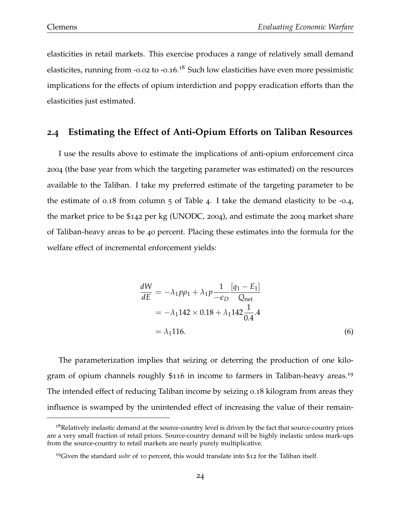elasticities in retail markets. This exercise produces a range of relatively small demand elasticites, running from -0.02 to -0.16.<sup>18</sup> Such low elasticities have even more pessimistic implications for the effects of opium interdiction and poppy eradication efforts than the elasticities just estimated.

#### **2.4 Estimating the Effect of Anti-Opium Efforts on Taliban Resources**

I use the results above to estimate the implications of anti-opium enforcement circa 2004 (the base year from which the targeting parameter was estimated) on the resources available to the Taliban. I take my preferred estimate of the targeting parameter to be the estimate of 0.18 from column  $\overline{5}$  of Table 4. I take the demand elasticity to be -0.4, the market price to be \$142 per kg (UNODC, 2004), and estimate the 2004 market share of Taliban-heavy areas to be 40 percent. Placing these estimates into the formula for the welfare effect of incremental enforcement yields:

$$
\frac{dW}{dE} = -\lambda_1 p \rho_1 + \lambda_1 p \frac{1}{-\epsilon_D} \frac{[q_1 - E_1]}{Q_{\text{net}}}
$$
  
= -\lambda\_1 142 \times 0.18 + \lambda\_1 142 \frac{1}{0.4}.4  
= \lambda\_1 116. (6)

The parameterization implies that seizing or deterring the production of one kilogram of opium channels roughly \$116 in income to farmers in Taliban-heavy areas.<sup>19</sup> The intended effect of reducing Taliban income by seizing 0.18 kilogram from areas they influence is swamped by the unintended effect of increasing the value of their remain-

<sup>&</sup>lt;sup>18</sup>Relatively inelastic demand at the source-country level is driven by the fact that source-country prices are a very small fraction of retail prices. Source-country demand will be highly inelastic unless mark-ups from the source-country to retail markets are nearly purely multiplicative.

<sup>19</sup>Given the standard *ushr* of 10 percent, this would translate into \$12 for the Taliban itself.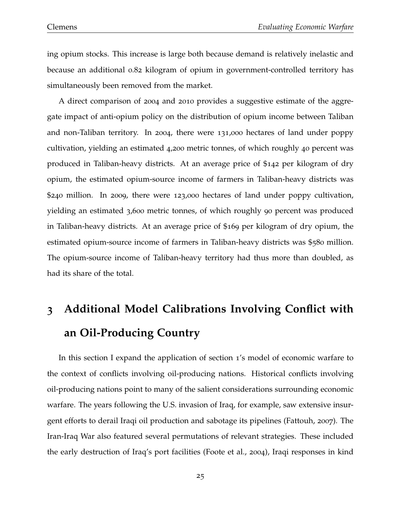ing opium stocks. This increase is large both because demand is relatively inelastic and because an additional 0.82 kilogram of opium in government-controlled territory has simultaneously been removed from the market.

A direct comparison of 2004 and 2010 provides a suggestive estimate of the aggregate impact of anti-opium policy on the distribution of opium income between Taliban and non-Taliban territory. In 2004, there were 131,000 hectares of land under poppy cultivation, yielding an estimated 4,200 metric tonnes, of which roughly 40 percent was produced in Taliban-heavy districts. At an average price of \$142 per kilogram of dry opium, the estimated opium-source income of farmers in Taliban-heavy districts was \$240 million. In 2009, there were 123,000 hectares of land under poppy cultivation, yielding an estimated 3,600 metric tonnes, of which roughly 90 percent was produced in Taliban-heavy districts. At an average price of \$169 per kilogram of dry opium, the estimated opium-source income of farmers in Taliban-heavy districts was \$580 million. The opium-source income of Taliban-heavy territory had thus more than doubled, as had its share of the total.

# **3 Additional Model Calibrations Involving Conflict with an Oil-Producing Country**

In this section I expand the application of section 1's model of economic warfare to the context of conflicts involving oil-producing nations. Historical conflicts involving oil-producing nations point to many of the salient considerations surrounding economic warfare. The years following the U.S. invasion of Iraq, for example, saw extensive insurgent efforts to derail Iraqi oil production and sabotage its pipelines (Fattouh, 2007). The Iran-Iraq War also featured several permutations of relevant strategies. These included the early destruction of Iraq's port facilities (Foote et al., 2004), Iraqi responses in kind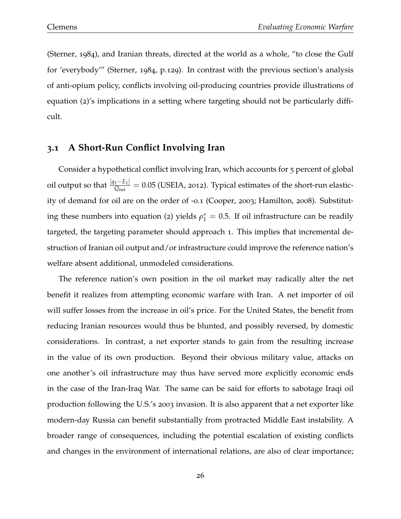(Sterner, 1984), and Iranian threats, directed at the world as a whole, "to close the Gulf for 'everybody'" (Sterner, 1984, p.129). In contrast with the previous section's analysis of anti-opium policy, conflicts involving oil-producing countries provide illustrations of equation (2)'s implications in a setting where targeting should not be particularly difficult.

### **3.1 A Short-Run Conflict Involving Iran**

Consider a hypothetical conflict involving Iran, which accounts for 5 percent of global oil output so that [*q*1−*E*<sup>1</sup> ]  $\frac{1 - E_1}{Q_{\text{net}}} = 0.05$  (USEIA, 2012). Typical estimates of the short-run elasticity of demand for oil are on the order of -0.1 (Cooper, 2003; Hamilton, 2008). Substituting these numbers into equation (2) yields  $\rho_1^* = 0.5$ . If oil infrastructure can be readily targeted, the targeting parameter should approach 1. This implies that incremental destruction of Iranian oil output and/or infrastructure could improve the reference nation's welfare absent additional, unmodeled considerations.

The reference nation's own position in the oil market may radically alter the net benefit it realizes from attempting economic warfare with Iran. A net importer of oil will suffer losses from the increase in oil's price. For the United States, the benefit from reducing Iranian resources would thus be blunted, and possibly reversed, by domestic considerations. In contrast, a net exporter stands to gain from the resulting increase in the value of its own production. Beyond their obvious military value, attacks on one another's oil infrastructure may thus have served more explicitly economic ends in the case of the Iran-Iraq War. The same can be said for efforts to sabotage Iraqi oil production following the U.S.'s 2003 invasion. It is also apparent that a net exporter like modern-day Russia can benefit substantially from protracted Middle East instability. A broader range of consequences, including the potential escalation of existing conflicts and changes in the environment of international relations, are also of clear importance;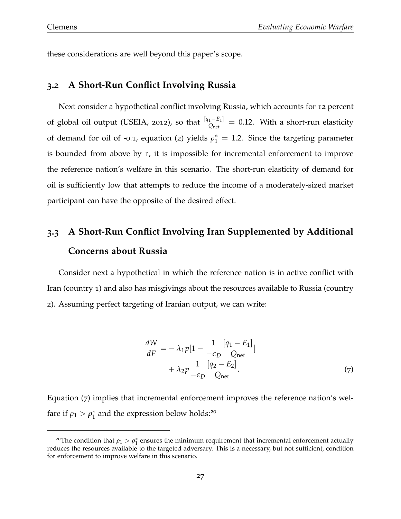these considerations are well beyond this paper's scope.

#### **3.2 A Short-Run Conflict Involving Russia**

Next consider a hypothetical conflict involving Russia, which accounts for 12 percent of global oil output (USEIA, <sup>2012</sup>), so that [*q*1−*E*<sup>1</sup> ]  $\frac{1-E_1|}{Q_{\text{net}}} = 0.12$ . With a short-run elasticity of demand for oil of -0.1, equation (2) yields  $\rho_1^* = 1.2$ . Since the targeting parameter is bounded from above by 1, it is impossible for incremental enforcement to improve the reference nation's welfare in this scenario. The short-run elasticity of demand for oil is sufficiently low that attempts to reduce the income of a moderately-sized market participant can have the opposite of the desired effect.

# **3.3 A Short-Run Conflict Involving Iran Supplemented by Additional Concerns about Russia**

Consider next a hypothetical in which the reference nation is in active conflict with Iran (country 1) and also has misgivings about the resources available to Russia (country 2). Assuming perfect targeting of Iranian output, we can write:

$$
\frac{dW}{dE} = -\lambda_1 p \left[ 1 - \frac{1}{-\epsilon_D} \frac{[q_1 - E_1]}{Q_{\text{net}}} \right] + \lambda_2 p \frac{1}{-\epsilon_D} \frac{[q_2 - E_2]}{Q_{\text{net}}}.
$$
\n(7)

Equation (7) implies that incremental enforcement improves the reference nation's welfare if  $\rho_1 > \rho_1^*$  $_1^*$  and the expression below holds:<sup>20</sup>

<sup>&</sup>lt;sup>20</sup>The condition that  $\rho_1 > \rho_1^*$  $i<sub>1</sub><sup>*</sup>$  ensures the minimum requirement that incremental enforcement actually reduces the resources available to the targeted adversary. This is a necessary, but not sufficient, condition for enforcement to improve welfare in this scenario.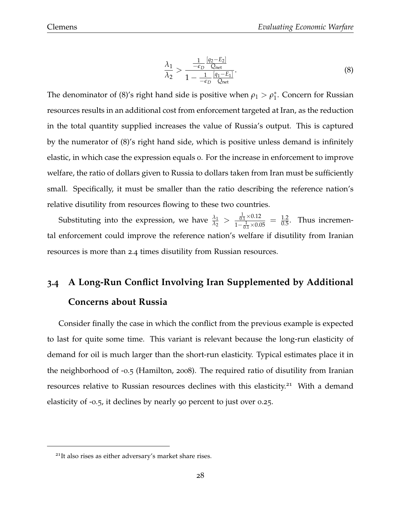$$
\frac{\lambda_1}{\lambda_2} > \frac{\frac{1}{-\epsilon_D} \frac{[q_2 - E_2]}{Q_{\text{net}}}}{1 - \frac{1}{-\epsilon_D} \frac{[q_1 - E_1]}{Q_{\text{net}}}}.\tag{8}
$$

The denominator of (8)'s right hand side is positive when  $\rho_1 > \rho_1^*$  $_1^*$ . Concern for Russian resources results in an additional cost from enforcement targeted at Iran, as the reduction in the total quantity supplied increases the value of Russia's output. This is captured by the numerator of (8)'s right hand side, which is positive unless demand is infinitely elastic, in which case the expression equals 0. For the increase in enforcement to improve welfare, the ratio of dollars given to Russia to dollars taken from Iran must be sufficiently small. Specifically, it must be smaller than the ratio describing the reference nation's relative disutility from resources flowing to these two countries.

Substituting into the expression, we have  $\frac{\lambda_1}{\lambda_2} > \frac{\frac{1}{0.1} \times 0.12}{1 - \frac{1}{0.1} \times 0.012}$  $\frac{\frac{1}{0.1} \times 0.12}{1 - \frac{1}{0.1} \times 0.05} = \frac{1.2}{0.5}$ . Thus incremental enforcement could improve the reference nation's welfare if disutility from Iranian resources is more than 2.4 times disutility from Russian resources.

# **3.4 A Long-Run Conflict Involving Iran Supplemented by Additional Concerns about Russia**

Consider finally the case in which the conflict from the previous example is expected to last for quite some time. This variant is relevant because the long-run elasticity of demand for oil is much larger than the short-run elasticity. Typical estimates place it in the neighborhood of -0.5 (Hamilton, 2008). The required ratio of disutility from Iranian resources relative to Russian resources declines with this elasticity.<sup>21</sup> With a demand elasticity of -0.5, it declines by nearly 90 percent to just over 0.25.

<sup>21</sup>It also rises as either adversary's market share rises.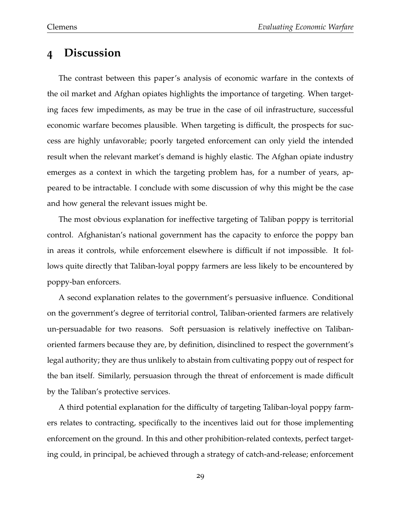# **4 Discussion**

The contrast between this paper's analysis of economic warfare in the contexts of the oil market and Afghan opiates highlights the importance of targeting. When targeting faces few impediments, as may be true in the case of oil infrastructure, successful economic warfare becomes plausible. When targeting is difficult, the prospects for success are highly unfavorable; poorly targeted enforcement can only yield the intended result when the relevant market's demand is highly elastic. The Afghan opiate industry emerges as a context in which the targeting problem has, for a number of years, appeared to be intractable. I conclude with some discussion of why this might be the case and how general the relevant issues might be.

The most obvious explanation for ineffective targeting of Taliban poppy is territorial control. Afghanistan's national government has the capacity to enforce the poppy ban in areas it controls, while enforcement elsewhere is difficult if not impossible. It follows quite directly that Taliban-loyal poppy farmers are less likely to be encountered by poppy-ban enforcers.

A second explanation relates to the government's persuasive influence. Conditional on the government's degree of territorial control, Taliban-oriented farmers are relatively un-persuadable for two reasons. Soft persuasion is relatively ineffective on Talibanoriented farmers because they are, by definition, disinclined to respect the government's legal authority; they are thus unlikely to abstain from cultivating poppy out of respect for the ban itself. Similarly, persuasion through the threat of enforcement is made difficult by the Taliban's protective services.

A third potential explanation for the difficulty of targeting Taliban-loyal poppy farmers relates to contracting, specifically to the incentives laid out for those implementing enforcement on the ground. In this and other prohibition-related contexts, perfect targeting could, in principal, be achieved through a strategy of catch-and-release; enforcement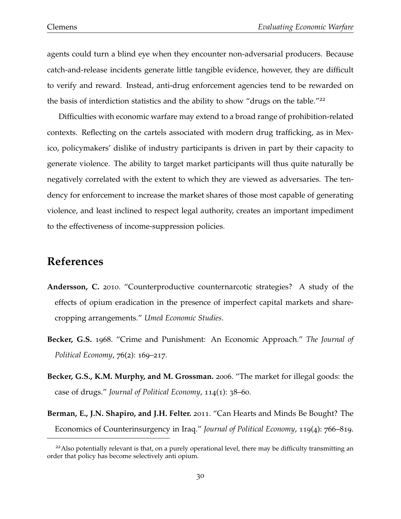agents could turn a blind eye when they encounter non-adversarial producers. Because catch-and-release incidents generate little tangible evidence, however, they are difficult to verify and reward. Instead, anti-drug enforcement agencies tend to be rewarded on the basis of interdiction statistics and the ability to show "drugs on the table."<sup>22</sup>

Difficulties with economic warfare may extend to a broad range of prohibition-related contexts. Reflecting on the cartels associated with modern drug trafficking, as in Mexico, policymakers' dislike of industry participants is driven in part by their capacity to generate violence. The ability to target market participants will thus quite naturally be negatively correlated with the extent to which they are viewed as adversaries. The tendency for enforcement to increase the market shares of those most capable of generating violence, and least inclined to respect legal authority, creates an important impediment to the effectiveness of income-suppression policies.

## **References**

- **Andersson, C.** 2010. "Counterproductive counternarcotic strategies? A study of the effects of opium eradication in the presence of imperfect capital markets and sharecropping arrangements." *Umea Economic Studies ˚* .
- **Becker, G.S.** 1968. "Crime and Punishment: An Economic Approach." *The Journal of Political Economy*, 76(2): 169–217.
- **Becker, G.S., K.M. Murphy, and M. Grossman.** 2006. "The market for illegal goods: the case of drugs." *Journal of Political Economy*, 114(1): 38–60.
- **Berman, E., J.N. Shapiro, and J.H. Felter.** 2011. "Can Hearts and Minds Be Bought? The Economics of Counterinsurgency in Iraq." *Journal of Political Economy*, 119(4): 766–819.

 $22$ Also potentially relevant is that, on a purely operational level, there may be difficulty transmitting an order that policy has become selectively anti opium.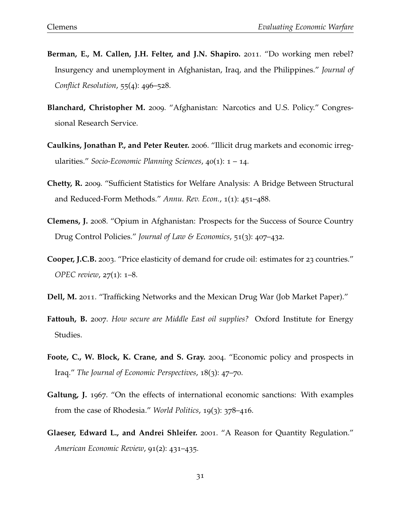- **Berman, E., M. Callen, J.H. Felter, and J.N. Shapiro.** 2011. "Do working men rebel? Insurgency and unemployment in Afghanistan, Iraq, and the Philippines." *Journal of Conflict Resolution*, 55(4): 496–528.
- **Blanchard, Christopher M.** 2009. "Afghanistan: Narcotics and U.S. Policy." Congressional Research Service.
- **Caulkins, Jonathan P., and Peter Reuter.** 2006. "Illicit drug markets and economic irregularities." *Socio-Economic Planning Sciences*, 40(1): 1 – 14.
- **Chetty, R.** 2009. "Sufficient Statistics for Welfare Analysis: A Bridge Between Structural and Reduced-Form Methods." *Annu. Rev. Econ.*, 1(1): 451–488.
- **Clemens, J.** 2008. "Opium in Afghanistan: Prospects for the Success of Source Country Drug Control Policies." *Journal of Law & Economics*, 51(3): 407–432.
- **Cooper, J.C.B.** 2003. "Price elasticity of demand for crude oil: estimates for 23 countries." *OPEC review*, 27(1): 1–8.
- **Dell, M.** 2011. "Trafficking Networks and the Mexican Drug War (Job Market Paper)."
- **Fattouh, B.** 2007. *How secure are Middle East oil supplies?* Oxford Institute for Energy Studies.
- **Foote, C., W. Block, K. Crane, and S. Gray.** 2004. "Economic policy and prospects in Iraq." *The Journal of Economic Perspectives*, 18(3): 47–70.
- **Galtung, J.** 1967. "On the effects of international economic sanctions: With examples from the case of Rhodesia." *World Politics*, 19(3): 378–416.
- **Glaeser, Edward L., and Andrei Shleifer.** 2001. "A Reason for Quantity Regulation." *American Economic Review*, 91(2): 431–435.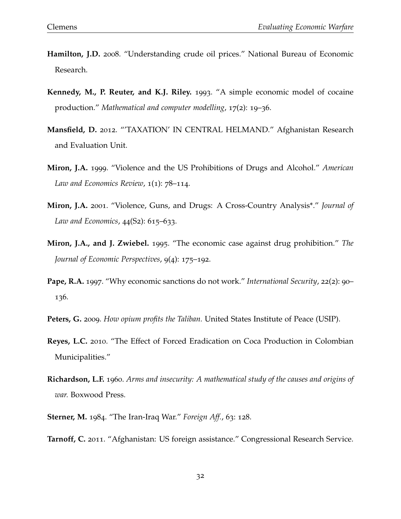- **Hamilton, J.D.** 2008. "Understanding crude oil prices." National Bureau of Economic Research.
- **Kennedy, M., P. Reuter, and K.J. Riley.** 1993. "A simple economic model of cocaine production." *Mathematical and computer modelling*, 17(2): 19–36.
- **Mansfield, D.** 2012. "'TAXATION' IN CENTRAL HELMAND." Afghanistan Research and Evaluation Unit.
- **Miron, J.A.** 1999. "Violence and the US Prohibitions of Drugs and Alcohol." *American Law and Economics Review*, 1(1): 78–114.
- **Miron, J.A.** 2001. "Violence, Guns, and Drugs: A Cross-Country Analysis\*." *Journal of Law and Economics*, 44(S2): 615–633.
- **Miron, J.A., and J. Zwiebel.** 1995. "The economic case against drug prohibition." *The Journal of Economic Perspectives*, 9(4): 175–192.
- **Pape, R.A.** 1997. "Why economic sanctions do not work." *International Security*, 22(2): 90– 136.
- **Peters, G.** 2009. *How opium profits the Taliban.* United States Institute of Peace (USIP).
- **Reyes, L.C.** 2010. "The Effect of Forced Eradication on Coca Production in Colombian Municipalities."
- **Richardson, L.F.** 1960. *Arms and insecurity: A mathematical study of the causes and origins of war.* Boxwood Press.
- **Sterner, M.** 1984. "The Iran-Iraq War." *Foreign Aff.*, 63: 128.
- **Tarnoff, C.** 2011. "Afghanistan: US foreign assistance." Congressional Research Service.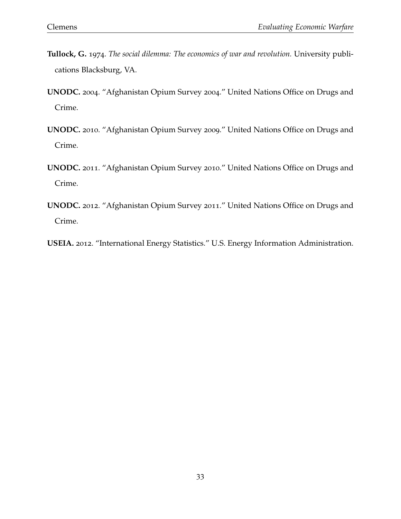- **Tullock, G.** 1974. *The social dilemma: The economics of war and revolution.* University publications Blacksburg, VA.
- **UNODC.** 2004. "Afghanistan Opium Survey 2004." United Nations Office on Drugs and Crime.
- **UNODC.** 2010. "Afghanistan Opium Survey 2009." United Nations Office on Drugs and Crime.
- **UNODC.** 2011. "Afghanistan Opium Survey 2010." United Nations Office on Drugs and Crime.
- **UNODC.** 2012. "Afghanistan Opium Survey 2011." United Nations Office on Drugs and Crime.
- **USEIA.** 2012. "International Energy Statistics." U.S. Energy Information Administration.